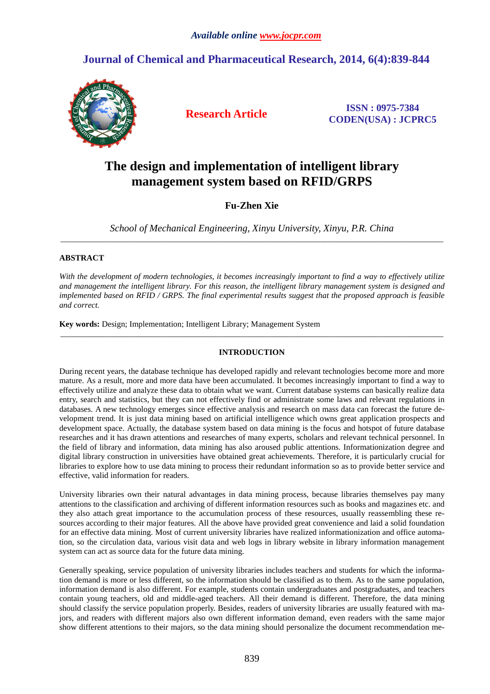## **Journal of Chemical and Pharmaceutical Research, 2014, 6(4):839-844**



**Research Article ISSN : 0975-7384 CODEN(USA) : JCPRC5**

# **The design and implementation of intelligent library management system based on RFID/GRPS**

## **Fu-Zhen Xie**

*School of Mechanical Engineering, Xinyu University, Xinyu, P.R. China*  \_\_\_\_\_\_\_\_\_\_\_\_\_\_\_\_\_\_\_\_\_\_\_\_\_\_\_\_\_\_\_\_\_\_\_\_\_\_\_\_\_\_\_\_\_\_\_\_\_\_\_\_\_\_\_\_\_\_\_\_\_\_\_\_\_\_\_\_\_\_\_\_\_\_\_\_\_\_\_\_\_\_\_\_\_\_\_\_\_\_\_\_\_

## **ABSTRACT**

*With the development of modern technologies, it becomes increasingly important to find a way to effectively utilize and management the intelligent library. For this reason, the intelligent library management system is designed and implemented based on RFID / GRPS. The final experimental results suggest that the proposed approach is feasible and correct.* 

**Key words:** Design; Implementation; Intelligent Library; Management System

## **INTRODUCTION**

\_\_\_\_\_\_\_\_\_\_\_\_\_\_\_\_\_\_\_\_\_\_\_\_\_\_\_\_\_\_\_\_\_\_\_\_\_\_\_\_\_\_\_\_\_\_\_\_\_\_\_\_\_\_\_\_\_\_\_\_\_\_\_\_\_\_\_\_\_\_\_\_\_\_\_\_\_\_\_\_\_\_\_\_\_\_\_\_\_\_\_\_\_

During recent years, the database technique has developed rapidly and relevant technologies become more and more mature. As a result, more and more data have been accumulated. It becomes increasingly important to find a way to effectively utilize and analyze these data to obtain what we want. Current database systems can basically realize data entry, search and statistics, but they can not effectively find or administrate some laws and relevant regulations in databases. A new technology emerges since effective analysis and research on mass data can forecast the future development trend. It is just data mining based on artificial intelligence which owns great application prospects and development space. Actually, the database system based on data mining is the focus and hotspot of future database researches and it has drawn attentions and researches of many experts, scholars and relevant technical personnel. In the field of library and information, data mining has also aroused public attentions. Informationization degree and digital library construction in universities have obtained great achievements. Therefore, it is particularly crucial for libraries to explore how to use data mining to process their redundant information so as to provide better service and effective, valid information for readers.

University libraries own their natural advantages in data mining process, because libraries themselves pay many attentions to the classification and archiving of different information resources such as books and magazines etc. and they also attach great importance to the accumulation process of these resources, usually reassembling these resources according to their major features. All the above have provided great convenience and laid a solid foundation for an effective data mining. Most of current university libraries have realized informationization and office automation, so the circulation data, various visit data and web logs in library website in library information management system can act as source data for the future data mining.

Generally speaking, service population of university libraries includes teachers and students for which the information demand is more or less different, so the information should be classified as to them. As to the same population, information demand is also different. For example, students contain undergraduates and postgraduates, and teachers contain young teachers, old and middle-aged teachers. All their demand is different. Therefore, the data mining should classify the service population properly. Besides, readers of university libraries are usually featured with majors, and readers with different majors also own different information demand, even readers with the same major show different attentions to their majors, so the data mining should personalize the document recommendation me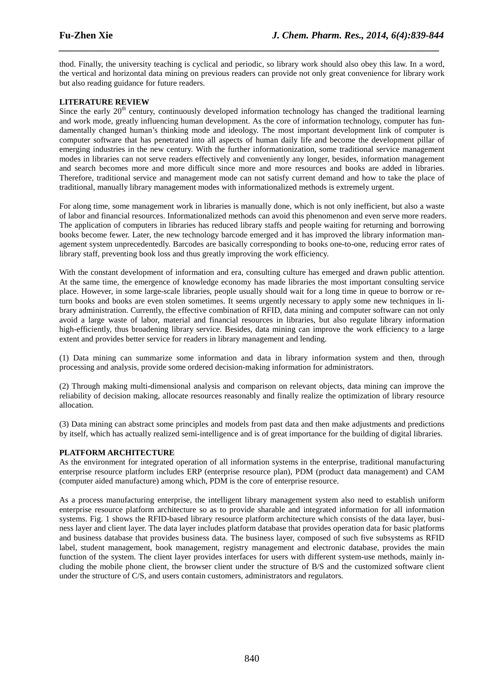thod. Finally, the university teaching is cyclical and periodic, so library work should also obey this law. In a word, the vertical and horizontal data mining on previous readers can provide not only great convenience for library work but also reading guidance for future readers.

*\_\_\_\_\_\_\_\_\_\_\_\_\_\_\_\_\_\_\_\_\_\_\_\_\_\_\_\_\_\_\_\_\_\_\_\_\_\_\_\_\_\_\_\_\_\_\_\_\_\_\_\_\_\_\_\_\_\_\_\_\_\_\_\_\_\_\_\_\_\_\_\_\_\_\_\_\_*

## **LITERATURE REVIEW**

Since the early 20<sup>th</sup> century, continuously developed information technology has changed the traditional learning and work mode, greatly influencing human development. As the core of information technology, computer has fundamentally changed human's thinking mode and ideology. The most important development link of computer is computer software that has penetrated into all aspects of human daily life and become the development pillar of emerging industries in the new century. With the further informationization, some traditional service management modes in libraries can not serve readers effectively and conveniently any longer, besides, information management and search becomes more and more difficult since more and more resources and books are added in libraries. Therefore, traditional service and management mode can not satisfy current demand and how to take the place of traditional, manually library management modes with informationalized methods is extremely urgent.

For along time, some management work in libraries is manually done, which is not only inefficient, but also a waste of labor and financial resources. Informationalized methods can avoid this phenomenon and even serve more readers. The application of computers in libraries has reduced library staffs and people waiting for returning and borrowing books become fewer. Later, the new technology barcode emerged and it has improved the library information management system unprecedentedly. Barcodes are basically corresponding to books one-to-one, reducing error rates of library staff, preventing book loss and thus greatly improving the work efficiency.

With the constant development of information and era, consulting culture has emerged and drawn public attention. At the same time, the emergence of knowledge economy has made libraries the most important consulting service place. However, in some large-scale libraries, people usually should wait for a long time in queue to borrow or return books and books are even stolen sometimes. It seems urgently necessary to apply some new techniques in library administration. Currently, the effective combination of RFID, data mining and computer software can not only avoid a large waste of labor, material and financial resources in libraries, but also regulate library information high-efficiently, thus broadening library service. Besides, data mining can improve the work efficiency to a large extent and provides better service for readers in library management and lending.

(1) Data mining can summarize some information and data in library information system and then, through processing and analysis, provide some ordered decision-making information for administrators.

(2) Through making multi-dimensional analysis and comparison on relevant objects, data mining can improve the reliability of decision making, allocate resources reasonably and finally realize the optimization of library resource allocation.

(3) Data mining can abstract some principles and models from past data and then make adjustments and predictions by itself, which has actually realized semi-intelligence and is of great importance for the building of digital libraries.

#### **PLATFORM ARCHITECTURE**

As the environment for integrated operation of all information systems in the enterprise, traditional manufacturing enterprise resource platform includes ERP (enterprise resource plan), PDM (product data management) and CAM (computer aided manufacture) among which, PDM is the core of enterprise resource.

As a process manufacturing enterprise, the intelligent library management system also need to establish uniform enterprise resource platform architecture so as to provide sharable and integrated information for all information systems. Fig. 1 shows the RFID-based library resource platform architecture which consists of the data layer, business layer and client layer. The data layer includes platform database that provides operation data for basic platforms and business database that provides business data. The business layer, composed of such five subsystems as RFID label, student management, book management, registry management and electronic database, provides the main function of the system. The client layer provides interfaces for users with different system-use methods, mainly including the mobile phone client, the browser client under the structure of B/S and the customized software client under the structure of C/S, and users contain customers, administrators and regulators.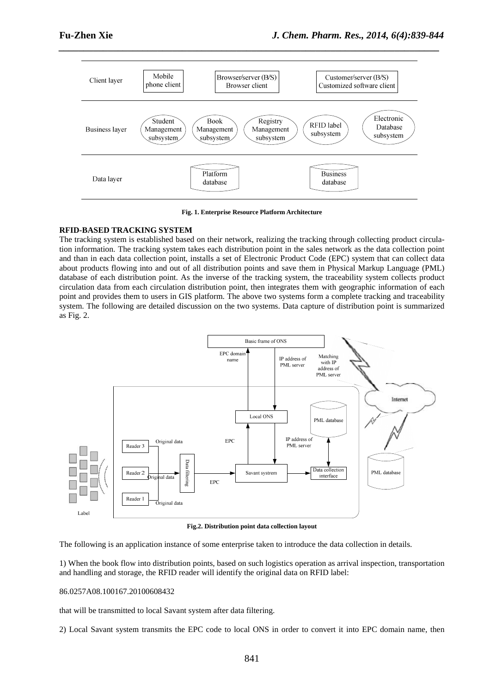

*\_\_\_\_\_\_\_\_\_\_\_\_\_\_\_\_\_\_\_\_\_\_\_\_\_\_\_\_\_\_\_\_\_\_\_\_\_\_\_\_\_\_\_\_\_\_\_\_\_\_\_\_\_\_\_\_\_\_\_\_\_\_\_\_\_\_\_\_\_\_\_\_\_\_\_\_\_*

**Fig. 1. Enterprise Resource Platform Architecture** 

## **RFID-BASED TRACKING SYSTEM**

The tracking system is established based on their network, realizing the tracking through collecting product circulation information. The tracking system takes each distribution point in the sales network as the data collection point and than in each data collection point, installs a set of Electronic Product Code (EPC) system that can collect data about products flowing into and out of all distribution points and save them in Physical Markup Language (PML) database of each distribution point. As the inverse of the tracking system, the traceability system collects product circulation data from each circulation distribution point, then integrates them with geographic information of each point and provides them to users in GIS platform. The above two systems form a complete tracking and traceability system. The following are detailed discussion on the two systems. Data capture of distribution point is summarized as Fig. 2.



**Fig.2. Distribution point data collection layout** 

The following is an application instance of some enterprise taken to introduce the data collection in details.

1) When the book flow into distribution points, based on such logistics operation as arrival inspection, transportation and handling and storage, the RFID reader will identify the original data on RFID label:

#### 86.0257A08.100167.20100608432

that will be transmitted to local Savant system after data filtering.

2) Local Savant system transmits the EPC code to local ONS in order to convert it into EPC domain name, then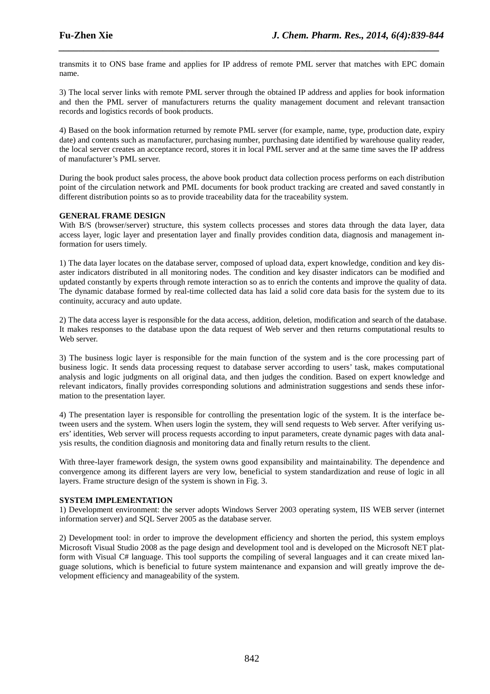transmits it to ONS base frame and applies for IP address of remote PML server that matches with EPC domain name.

*\_\_\_\_\_\_\_\_\_\_\_\_\_\_\_\_\_\_\_\_\_\_\_\_\_\_\_\_\_\_\_\_\_\_\_\_\_\_\_\_\_\_\_\_\_\_\_\_\_\_\_\_\_\_\_\_\_\_\_\_\_\_\_\_\_\_\_\_\_\_\_\_\_\_\_\_\_*

3) The local server links with remote PML server through the obtained IP address and applies for book information and then the PML server of manufacturers returns the quality management document and relevant transaction records and logistics records of book products.

4) Based on the book information returned by remote PML server (for example, name, type, production date, expiry date) and contents such as manufacturer, purchasing number, purchasing date identified by warehouse quality reader, the local server creates an acceptance record, stores it in local PML server and at the same time saves the IP address of manufacturer's PML server.

During the book product sales process, the above book product data collection process performs on each distribution point of the circulation network and PML documents for book product tracking are created and saved constantly in different distribution points so as to provide traceability data for the traceability system.

## **GENERAL FRAME DESIGN**

With B/S (browser/server) structure, this system collects processes and stores data through the data layer, data access layer, logic layer and presentation layer and finally provides condition data, diagnosis and management information for users timely.

1) The data layer locates on the database server, composed of upload data, expert knowledge, condition and key disaster indicators distributed in all monitoring nodes. The condition and key disaster indicators can be modified and updated constantly by experts through remote interaction so as to enrich the contents and improve the quality of data. The dynamic database formed by real-time collected data has laid a solid core data basis for the system due to its continuity, accuracy and auto update.

2) The data access layer is responsible for the data access, addition, deletion, modification and search of the database. It makes responses to the database upon the data request of Web server and then returns computational results to Web server.

3) The business logic layer is responsible for the main function of the system and is the core processing part of business logic. It sends data processing request to database server according to users' task, makes computational analysis and logic judgments on all original data, and then judges the condition. Based on expert knowledge and relevant indicators, finally provides corresponding solutions and administration suggestions and sends these information to the presentation layer.

4) The presentation layer is responsible for controlling the presentation logic of the system. It is the interface between users and the system. When users login the system, they will send requests to Web server. After verifying users' identities, Web server will process requests according to input parameters, create dynamic pages with data analysis results, the condition diagnosis and monitoring data and finally return results to the client.

With three-layer framework design, the system owns good expansibility and maintainability. The dependence and convergence among its different layers are very low, beneficial to system standardization and reuse of logic in all layers. Frame structure design of the system is shown in Fig. 3.

#### **SYSTEM IMPLEMENTATION**

1) Development environment: the server adopts Windows Server 2003 operating system, IIS WEB server (internet information server) and SQL Server 2005 as the database server.

2) Development tool: in order to improve the development efficiency and shorten the period, this system employs Microsoft Visual Studio 2008 as the page design and development tool and is developed on the Microsoft NET platform with Visual C# language. This tool supports the compiling of several languages and it can create mixed language solutions, which is beneficial to future system maintenance and expansion and will greatly improve the development efficiency and manageability of the system.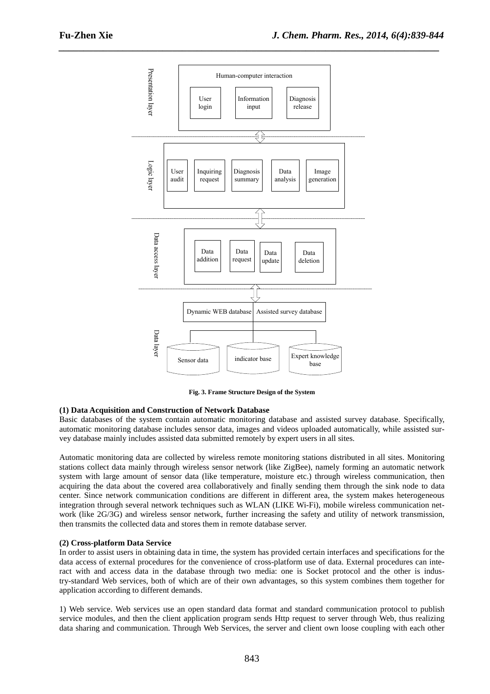

**Fig. 3. Frame Structure Design of the System** 

#### **(1) Data Acquisition and Construction of Network Database**

Basic databases of the system contain automatic monitoring database and assisted survey database. Specifically, automatic monitoring database includes sensor data, images and videos uploaded automatically, while assisted survey database mainly includes assisted data submitted remotely by expert users in all sites.

Automatic monitoring data are collected by wireless remote monitoring stations distributed in all sites. Monitoring stations collect data mainly through wireless sensor network (like ZigBee), namely forming an automatic network system with large amount of sensor data (like temperature, moisture etc.) through wireless communication, then acquiring the data about the covered area collaboratively and finally sending them through the sink node to data center. Since network communication conditions are different in different area, the system makes heterogeneous integration through several network techniques such as WLAN (LIKE Wi-Fi), mobile wireless communication network (like 2G/3G) and wireless sensor network, further increasing the safety and utility of network transmission, then transmits the collected data and stores them in remote database server.

#### **(2) Cross-platform Data Service**

In order to assist users in obtaining data in time, the system has provided certain interfaces and specifications for the data access of external procedures for the convenience of cross-platform use of data. External procedures can interact with and access data in the database through two media: one is Socket protocol and the other is industry-standard Web services, both of which are of their own advantages, so this system combines them together for application according to different demands.

1) Web service. Web services use an open standard data format and standard communication protocol to publish service modules, and then the client application program sends Http request to server through Web, thus realizing data sharing and communication. Through Web Services, the server and client own loose coupling with each other